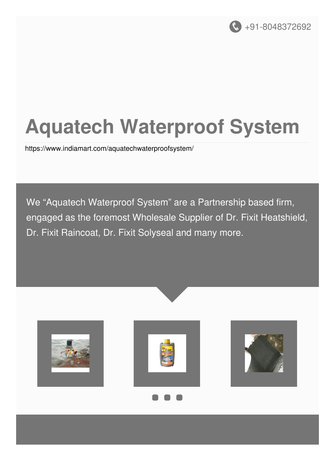

## **Aquatech Waterproof System**

<https://www.indiamart.com/aquatechwaterproofsystem/>

We "Aquatech Waterproof System" are a Partnership based firm, engaged as the foremost Wholesale Supplier of Dr. Fixit Heatshield, Dr. Fixit Raincoat, Dr. Fixit Solyseal and many more.







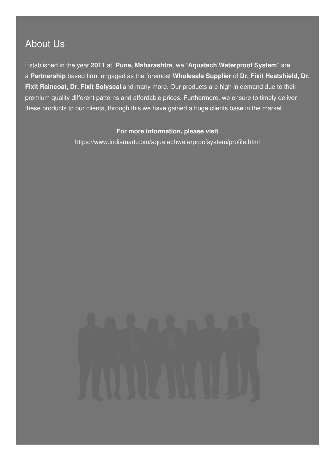#### About Us

Established in the year **2011** at **Pune, Maharashtra**, we "**Aquatech Waterproof System**" are a **Partnership** based firm, engaged as the foremost **Wholesale Supplier** of **Dr. Fixit Heatshield, Dr. Fixit Raincoat, Dr. Fixit Solyseal** and many more. Our products are high in demand due to their premium quality different patterns and affordable prices. Furthermore, we ensure to timely deliver these products to our clients, through this we have gained a huge clients base in the market

#### **For more information, please visit**

<https://www.indiamart.com/aquatechwaterproofsystem/profile.html>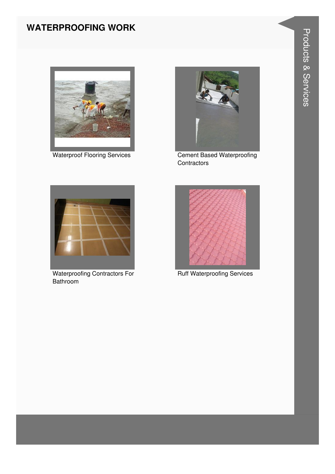#### **WATERPROOFING WORK**



**Waterproof Flooring Services** 



**Cement Based Waterproofing** Contractors



**Waterproofing Contractors For** Bathroom



**Ruff Waterproofing Services**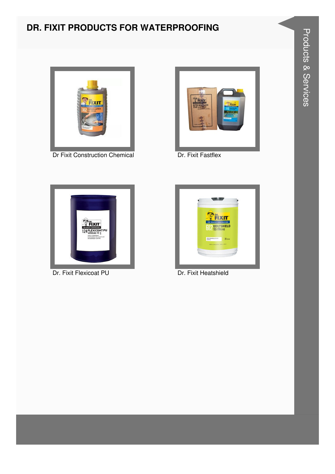# **Products & Services**

#### DR. FIXIT PRODUCTS FOR WATERPROOFING



Dr Fixit Construction Chemical



Dr. Fixit Fastflex



Dr. Fixit Flexicoat PU



Dr. Fixit Heatshield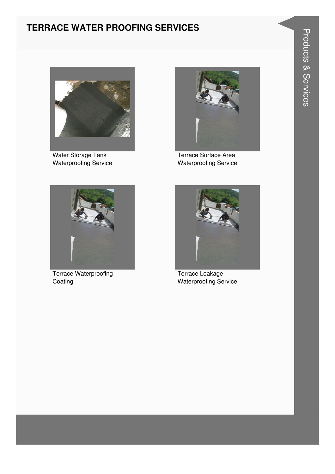#### **TERRACE WATER PROOFING SERVICES**



Water Storage Tank Waterproofing Service



Terrace Surface Area **Waterproofing Service** 



**Terrace Waterproofing** Coating



Terrace Leakage **Waterproofing Service**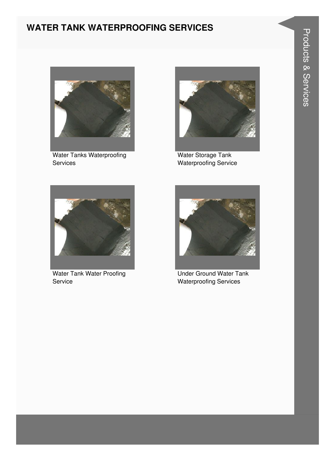#### **WATER TANK WATERPROOFING SERVICES**



**Water Tanks Waterproofing** Services



Water Storage Tank Waterproofing Service



Water Tank Water Proofing Service



**Under Ground Water Tank Waterproofing Services**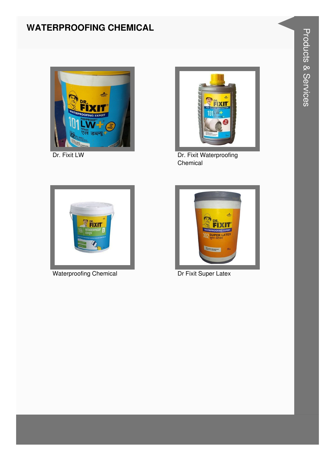#### **WATERPROOFING CHEMICAL**



Dr. Fixit LW



Dr. Fixit Waterproofing Chemical



**Waterproofing Chemical** 



Dr Fixit Super Latex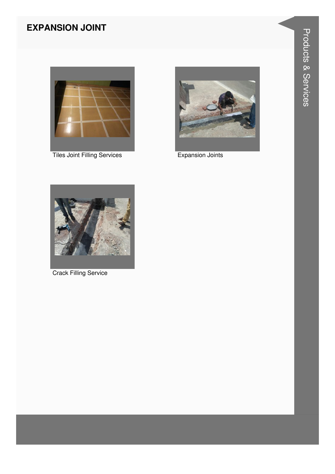#### **EXPANSION JOINT**



**Tiles Joint Filling Services** 



**Expansion Joints** 



**Crack Filling Service**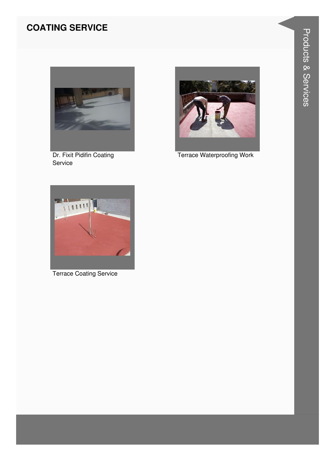#### **COATING SERVICE**



Dr. Fixit Pidifin Coating Service



**Terrace Waterproofing Work** 



**Terrace Coating Service**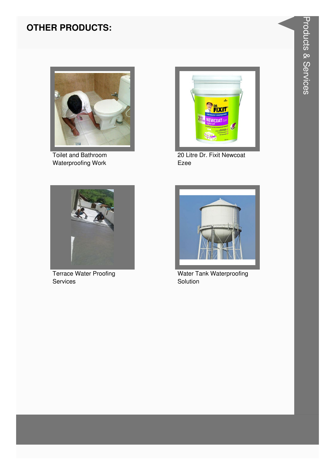#### **OTHER PRODUCTS:**



Toilet and Bathroom Waterproofing Work



20 Litre Dr. Fixit Newcoat Ezee



**Terrace Water Proofing** Services



**Water Tank Waterproofing** Solution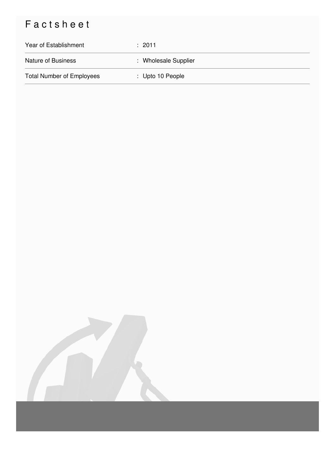### Factsheet

| Year of Establishment            | : 2011               |
|----------------------------------|----------------------|
| <b>Nature of Business</b>        | : Wholesale Supplier |
| <b>Total Number of Employees</b> | : Upto 10 People     |